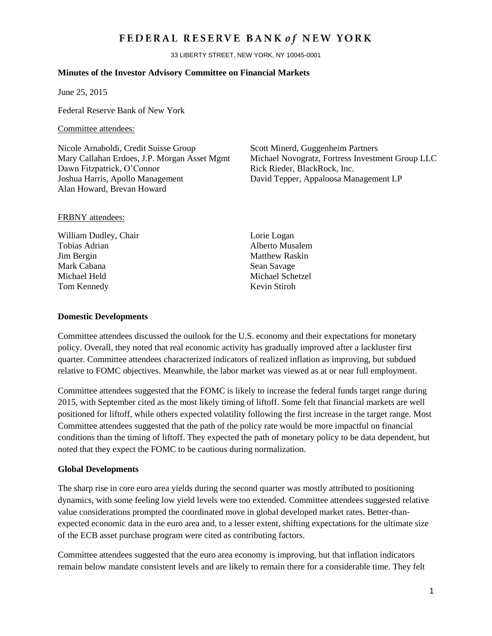## FEDERAL RESERVE BANK of NEW YORK

33 LIBERTY STREET, NEW YORK, NY 10045-0001

### **Minutes of the Investor Advisory Committee on Financial Markets**

June 25, 2015

Federal Reserve Bank of New York

#### Committee attendees:

Nicole Arnaboldi, Credit Suisse Group Scott Minerd, Guggenheim Partners Dawn Fitzpatrick, O'Connor Rick Rieder, BlackRock, Inc. Joshua Harris, Apollo Management David Tepper, Appaloosa Management LP Alan Howard, Brevan Howard

Mary Callahan Erdoes, J.P. Morgan Asset Mgmt Michael Novogratz, Fortress Investment Group LLC

## FRBNY attendees:

William Dudley, Chair Lorie Logan Tobias Adrian **Alberto Musalem Jim Bergin** Matthew Raskin Mark Cabana Sean Savage Michael Held Michael Schetzel Tom Kennedy Kevin Stiroh

#### **Domestic Developments**

Committee attendees discussed the outlook for the U.S. economy and their expectations for monetary policy. Overall, they noted that real economic activity has gradually improved after a lackluster first quarter. Committee attendees characterized indicators of realized inflation as improving, but subdued relative to FOMC objectives. Meanwhile, the labor market was viewed as at or near full employment.

Committee attendees suggested that the FOMC is likely to increase the federal funds target range during 2015, with September cited as the most likely timing of liftoff. Some felt that financial markets are well positioned for liftoff, while others expected volatility following the first increase in the target range. Most Committee attendees suggested that the path of the policy rate would be more impactful on financial conditions than the timing of liftoff. They expected the path of monetary policy to be data dependent, but noted that they expect the FOMC to be cautious during normalization.

## **Global Developments**

The sharp rise in core euro area yields during the second quarter was mostly attributed to positioning dynamics, with some feeling low yield levels were too extended. Committee attendees suggested relative value considerations prompted the coordinated move in global developed market rates. Better-thanexpected economic data in the euro area and, to a lesser extent, shifting expectations for the ultimate size of the ECB asset purchase program were cited as contributing factors.

Committee attendees suggested that the euro area economy is improving, but that inflation indicators remain below mandate consistent levels and are likely to remain there for a considerable time. They felt